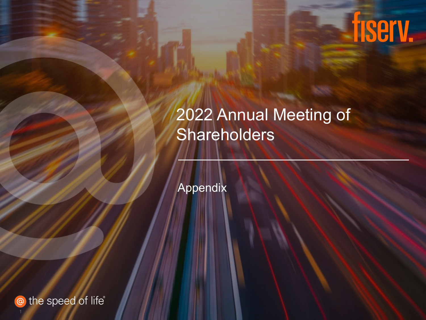# fiserv.

## 2022 Annual Meeting of **Shareholders**

Appendix

the speed of life<sup>®</sup>  $\circledcirc$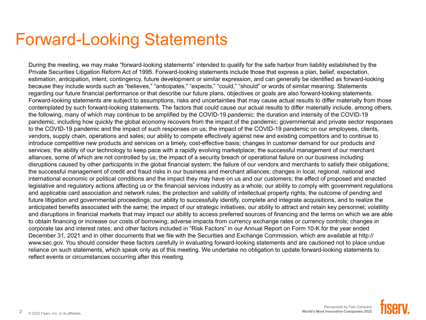#### Forward-Looking Statements

During the meeting, we may make "forward-looking statements" intended to qualify for the safe harbor from liability established by the Private Securities Litigation Reform Act of 1995. Forward-looking statements include those that express a plan, belief, expectation, estimation, anticipation, intent, contingency, future development or similar expression, and can generally be identified as forward-looking because they include words such as "believes," "anticipates," "expects," "could," "should" or words of similar meaning. Statements regarding our future financial performance or that describe our future plans, objectives or goals are also forward-looking statements. Forward-looking statements are subject to assumptions, risks and uncertainties that may cause actual results to differ materially from those contemplated by such forward-looking statements. The factors that could cause our actual results to differ materially include, among others, the following, many of which may continue to be amplified by the COVID-19 pandemic: the duration and intensity of the COVID-19 pandemic, including how quickly the global economy recovers from the impact of the pandemic; governmental and private sector responses to the COVID-19 pandemic and the impact of such responses on us; the impact of the COVID-19 pandemic on our employees, clients, vendors, supply chain, operations and sales; our ability to compete effectively against new and existing competitors and to continue to introduce competitive new products and services on a timely, cost-effective basis; changes in customer demand for our products and services; the ability of our technology to keep pace with a rapidly evolving marketplace; the successful management of our merchant alliances, some of which are not controlled by us; the impact of a security breach or operational failure on our business including disruptions caused by other participants in the global financial system; the failure of our vendors and merchants to satisfy their obligations; the successful management of credit and fraud risks in our business and merchant alliances; changes in local, regional, national and international economic or political conditions and the impact they may have on us and our customers; the effect of proposed and enacted legislative and regulatory actions affecting us or the financial services industry as a whole; our ability to comply with government regulations and applicable card association and network rules; the protection and validity of intellectual property rights; the outcome of pending and future litigation and governmental proceedings; our ability to successfully identify, complete and integrate acquisitions, and to realize the anticipated benefits associated with the same; the impact of our strategic initiatives; our ability to attract and retain key personnel; volatility and disruptions in financial markets that may impact our ability to access preferred sources of financing and the terms on which we are able to obtain financing or increase our costs of borrowing; adverse impacts from currency exchange rates or currency controls; changes in corporate tax and interest rates; and other factors included in "Risk Factors" in our Annual Report on Form 10-K for the year ended December 31, 2021 and in other documents that we file with the Securities and Exchange Commission, which are available at http:// www.sec.gov. You should consider these factors carefully in evaluating forward-looking statements and are cautioned not to place undue reliance on such statements, which speak only as of this meeting. We undertake no obligation to update forward-looking statements to reflect events or circumstances occurring after this meeting.

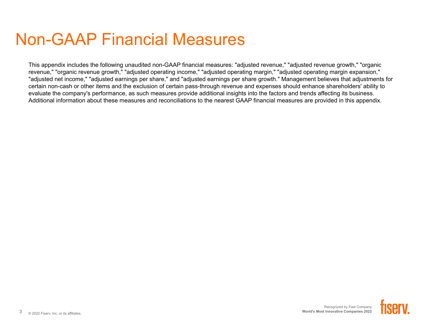#### Non-GAAP Financial Measures

This appendix includes the following unaudited non-GAAP financial measures: "adjusted revenue," "adjusted revenue growth," "organic revenue," "organic revenue growth," "adjusted operating income," "adjusted operating margin," "adjusted operating margin expansion," "adjusted net income," "adjusted earnings per share," and "adjusted earnings per share growth." Management believes that adjustments for certain non-cash or other items and the exclusion of certain pass-through revenue and expenses should enhance shareholders' ability to evaluate the company's performance, as such measures provide additional insights into the factors and trends affecting its business. Additional information about these measures and reconciliations to the nearest GAAP financial measures are provided in this appendix.

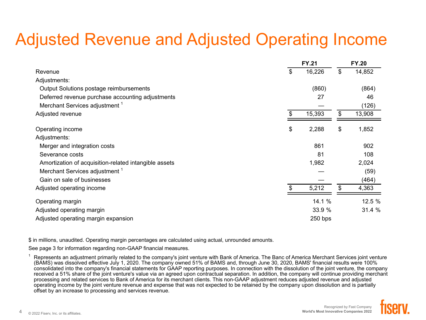## Adjusted Revenue and Adjusted Operating Income

|                                                       |     | <b>FY.21</b> |                         | <b>FY.20</b> |  |
|-------------------------------------------------------|-----|--------------|-------------------------|--------------|--|
| Revenue                                               | \$  | 16,226       | $\sqrt[6]{\frac{1}{2}}$ | 14,852       |  |
| Adjustments:                                          |     |              |                         |              |  |
| Output Solutions postage reimbursements               |     | (860)        |                         | (864)        |  |
| Deferred revenue purchase accounting adjustments      |     | 27           |                         | 46           |  |
| Merchant Services adjustment <sup>1</sup>             |     |              |                         | (126)        |  |
| Adjusted revenue                                      | \$  | 15,393       | \$                      | 13,908       |  |
| Operating income                                      | \$  | 2,288        | \$                      | 1,852        |  |
| Adjustments:                                          |     |              |                         |              |  |
| Merger and integration costs                          |     | 861          |                         | 902          |  |
| Severance costs                                       |     | 81           |                         | 108          |  |
| Amortization of acquisition-related intangible assets |     | 1,982        |                         | 2,024        |  |
| Merchant Services adjustment <sup>1</sup>             |     |              |                         | (59)         |  |
| Gain on sale of businesses                            |     |              |                         | (464)        |  |
| Adjusted operating income                             | \$. | 5,212        | \$                      | 4,363        |  |
| Operating margin                                      |     | 14.1 %       |                         | 12.5 %       |  |
| Adjusted operating margin                             |     | 33.9 %       |                         | 31.4 %       |  |
| Adjusted operating margin expansion                   |     | 250 bps      |                         |              |  |

\$ in millions, unaudited. Operating margin percentages are calculated using actual, unrounded amounts.

See page 3 for information regarding non-GAAP financial measures.

<sup>1</sup> Represents an adjustment primarily related to the company's joint venture with Bank of America. The Banc of America Merchant Services joint venture (BAMS) was dissolved effective July 1, 2020. The company owned 51% of BAMS and, through June 30, 2020, BAMS' financial results were 100% consolidated into the company's financial statements for GAAP reporting purposes. In connection with the dissolution of the joint venture, the company received a 51% share of the joint venture's value via an agreed upon contractual separation. In addition, the company will continue providing merchant processing and related services to Bank of America for its merchant clients. This non-GAAP adjustment reduces adjusted revenue and adjusted operating income by the joint venture revenue and expense that was not expected to be retained by the company upon dissolution and is partially offset by an increase to processing and services revenue.

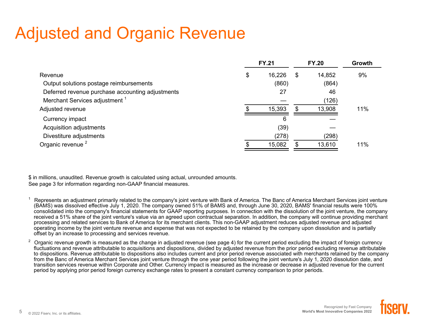## Adjusted and Organic Revenue

|                                                  | <b>FY.21</b> |    | <b>FY.20</b> | Growth |
|--------------------------------------------------|--------------|----|--------------|--------|
| Revenue                                          | \$<br>16,226 | S  | 14,852       | 9%     |
| Output solutions postage reimbursements          | (860)        |    | (864)        |        |
| Deferred revenue purchase accounting adjustments | 27           |    | 46           |        |
| Merchant Services adjustment <sup>1</sup>        |              |    | (126)        |        |
| Adjusted revenue                                 | 15,393       | S. | 13,908       | 11%    |
| Currency impact                                  | 6            |    |              |        |
| Acquisition adjustments                          | (39)         |    |              |        |
| Divestiture adjustments                          | (278)        |    | (298)        |        |
| Organic revenue <sup>2</sup>                     | 15,082       |    | 13,610       | 11%    |
|                                                  |              |    |              |        |

\$ in millions, unaudited. Revenue growth is calculated using actual, unrounded amounts. See page 3 for information regarding non-GAAP financial measures.

Represents an adjustment primarily related to the company's joint venture with Bank of America. The Banc of America Merchant Services joint venture (BAMS) was dissolved effective July 1, 2020. The company owned 51% of BAMS and, through June 30, 2020, BAMS' financial results were 100% consolidated into the company's financial statements for GAAP reporting purposes. In connection with the dissolution of the joint venture, the company received a 51% share of the joint venture's value via an agreed upon contractual separation. In addition, the company will continue providing merchant processing and related services to Bank of America for its merchant clients. This non-GAAP adjustment reduces adjusted revenue and adjusted operating income by the joint venture revenue and expense that was not expected to be retained by the company upon dissolution and is partially offset by an increase to processing and services revenue.

<sup>2</sup> Organic revenue growth is measured as the change in adjusted revenue (see page 4) for the current period excluding the impact of foreign currency fluctuations and revenue attributable to acquisitions and dispositions, divided by adjusted revenue from the prior period excluding revenue attributable to dispositions. Revenue attributable to dispositions also includes current and prior period revenue associated with merchants retained by the company from the Banc of America Merchant Services joint venture through the one year period following the joint venture's July 1, 2020 dissolution date, and transition services revenue within Corporate and Other. Currency impact is measured as the increase or decrease in adjusted revenue for the current period by applying prior period foreign currency exchange rates to present a constant currency comparison to prior periods.

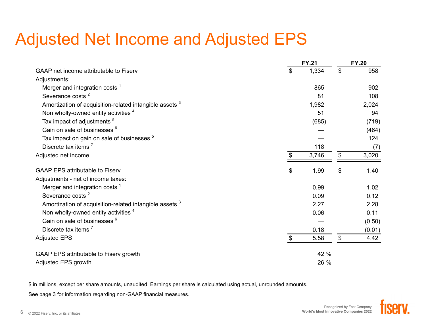# Adjusted Net Income and Adjusted EPS

|                                                                    | <b>FY.21</b> | <b>FY.20</b> |
|--------------------------------------------------------------------|--------------|--------------|
| GAAP net income attributable to Fiserv                             | \$<br>1,334  | \$<br>958    |
| Adjustments:                                                       |              |              |
| Merger and integration costs <sup>1</sup>                          | 865          | 902          |
| Severance costs <sup>2</sup>                                       | 81           | 108          |
| Amortization of acquisition-related intangible assets <sup>3</sup> | 1,982        | 2,024        |
| Non wholly-owned entity activities <sup>4</sup>                    | 51           | 94           |
| Tax impact of adjustments <sup>5</sup>                             | (685)        | (719)        |
| Gain on sale of businesses 6                                       |              | (464)        |
| Tax impact on gain on sale of businesses <sup>5</sup>              |              | 124          |
| Discrete tax items <sup>7</sup>                                    | 118          | (7)          |
| Adjusted net income                                                | \$<br>3,746  | \$<br>3,020  |
| <b>GAAP EPS attributable to Fiserv</b>                             | \$<br>1.99   | \$<br>1.40   |
| Adjustments - net of income taxes:                                 |              |              |
| Merger and integration costs <sup>1</sup>                          | 0.99         | 1.02         |
| Severance costs <sup>2</sup>                                       | 0.09         | 0.12         |
| Amortization of acquisition-related intangible assets <sup>3</sup> | 2.27         | 2.28         |
| Non wholly-owned entity activities <sup>4</sup>                    | 0.06         | 0.11         |
| Gain on sale of businesses 6                                       |              | (0.50)       |
| Discrete tax items <sup>7</sup>                                    | 0.18         | (0.01)       |
| <b>Adjusted EPS</b>                                                | 5.58         | \$<br>4.42   |
| GAAP EPS attributable to Fiserv growth                             | 42 %         |              |
| Adjusted EPS growth                                                | 26 %         |              |

\$ in millions, except per share amounts, unaudited. Earnings per share is calculated using actual, unrounded amounts.

See page 3 for information regarding non-GAAP financial measures.

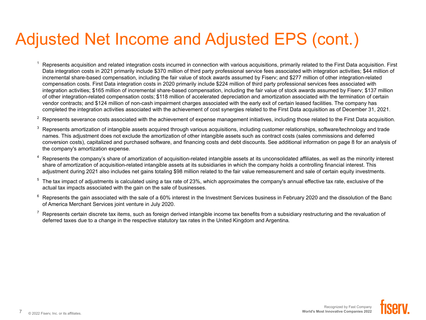## Adjusted Net Income and Adjusted EPS (cont.)

Represents acquisition and related integration costs incurred in connection with various acquisitions, primarily related to the First Data acquisition. First Data integration costs in 2021 primarily include \$370 million of third party professional service fees associated with integration activities; \$44 million of incremental share-based compensation, including the fair value of stock awards assumed by Fiserv; and \$277 million of other integration-related compensation costs. First Data integration costs in 2020 primarily include \$224 million of third party professional services fees associated with integration activities; \$165 million of incremental share-based compensation, including the fair value of stock awards assumed by Fiserv; \$137 million of other integration-related compensation costs; \$118 million of accelerated depreciation and amortization associated with the termination of certain vendor contracts; and \$124 million of non-cash impairment charges associated with the early exit of certain leased facilities. The company has completed the integration activities associated with the achievement of cost synergies related to the First Data acquisition as of December 31, 2021.

 $2$  Represents severance costs associated with the achievement of expense management initiatives, including those related to the First Data acquisition.

- <sup>3</sup> Represents amortization of intangible assets acquired through various acquisitions, including customer relationships, software/technology and trade names. This adjustment does not exclude the amortization of other intangible assets such as contract costs (sales commissions and deferred conversion costs), capitalized and purchased software, and financing costs and debt discounts. See additional information on page 8 for an analysis of the company's amortization expense.
- $4$  Represents the company's share of amortization of acquisition-related intangible assets at its unconsolidated affiliates, as well as the minority interest share of amortization of acquisition-related intangible assets at its subsidiaries in which the company holds a controlling financial interest. This adjustment during 2021 also includes net gains totaling \$98 million related to the fair value remeasurement and sale of certain equity investments.
- <sup>5</sup> The tax impact of adjustments is calculated using a tax rate of 23%, which approximates the company's annual effective tax rate, exclusive of the actual tax impacts associated with the gain on the sale of businesses.
- $6$  Represents the gain associated with the sale of a 60% interest in the Investment Services business in February 2020 and the dissolution of the Banc of America Merchant Services joint venture in July 2020.
- $^7$  Represents certain discrete tax items, such as foreign derived intangible income tax benefits from a subsidiary restructuring and the revaluation of deferred taxes due to a change in the respective statutory tax rates in the United Kingdom and Argentina.



Recognized by Fast Company